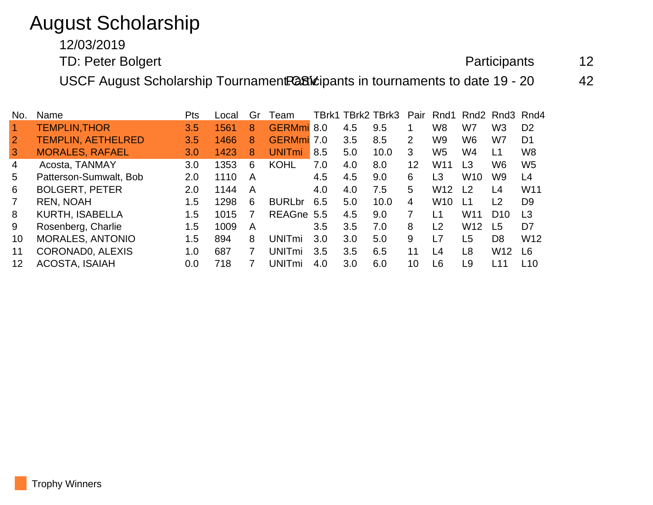## August Scholarship

12/03/2019

TD: Peter Bolgert **Participants** 12

USCF August Scholarship Tournament.Cative in tournaments to date 19 - 20 42

| No. | Name                      | Pts | Local | Gr | Team                     |     |     | TBrk1 TBrk2 TBrk3 | Pair                  | Rnd1            |                 | Rnd <sub>2</sub> Rnd <sub>3</sub> Rnd <sub>4</sub> |                 |
|-----|---------------------------|-----|-------|----|--------------------------|-----|-----|-------------------|-----------------------|-----------------|-----------------|----------------------------------------------------|-----------------|
|     | <b>TEMPLIN, THOR</b>      | 3.5 | 1561  | 8  | GERMmi 8.0               |     | 4.5 | 9.5               |                       | W <sub>8</sub>  | W7              | W3                                                 | D <sub>2</sub>  |
| 2   | <b>TEMPLIN, AETHELRED</b> | 3.5 | 1466  | 8  | <b>GERMmi</b> 7.0        |     | 3.5 | 8.5               | $\mathbf{2}^{\prime}$ | W <sub>9</sub>  | W <sub>6</sub>  | W7                                                 | D <sub>1</sub>  |
| 3   | <b>MORALES, RAFAEL</b>    | 3.0 | 1423  | 8  | <b>UNIT<sub>mi</sub></b> | 8.5 | 5.0 | 10.0              | 3                     | W <sub>5</sub>  | W4              | L1                                                 | W <sub>8</sub>  |
| 4   | Acosta, TANMAY            | 3.0 | 1353  | 6  | <b>KOHL</b>              | 7.0 | 4.0 | 8.0               | 12                    | W <sub>11</sub> | L <sub>3</sub>  | W6                                                 | W <sub>5</sub>  |
| 5   | Patterson-Sumwalt, Bob    | 2.0 | 1110  | A  |                          | 4.5 | 4.5 | 9.0               | 6                     | L3              | W <sub>10</sub> | W9                                                 | L4              |
| 6   | <b>BOLGERT, PETER</b>     | 2.0 | 1144  | A  |                          | 4.0 | 4.0 | 7.5               | 5                     | W <sub>12</sub> | L <sub>2</sub>  | L4                                                 | W11             |
|     | <b>REN, NOAH</b>          | 1.5 | 1298  | 6  | <b>BURLbr</b>            | 6.5 | 5.0 | 10.0              | 4                     | W <sub>10</sub> | L <sub>1</sub>  | L <sub>2</sub>                                     | D <sub>9</sub>  |
| 8   | <b>KURTH, ISABELLA</b>    | 1.5 | 1015  |    | <b>REAGne</b>            | 5.5 | 4.5 | 9.0               | 7                     | l 1             | W <sub>11</sub> | D <sub>10</sub>                                    | L <sub>3</sub>  |
| 9   | Rosenberg, Charlie        | 1.5 | 1009  | A  |                          | 3.5 | 3.5 | 7.0               | 8                     | L <sub>2</sub>  | W <sub>12</sub> | L <sub>5</sub>                                     | D <sub>7</sub>  |
| 10  | <b>MORALES, ANTONIO</b>   | 1.5 | 894   | 8  | <b>UNITmi</b>            | 3.0 | 3.0 | 5.0               | 9                     | L7              | L <sub>5</sub>  | D <sub>8</sub>                                     | W <sub>12</sub> |
| 11  | CORONADO, ALEXIS          | 1.0 | 687   |    | <b>UNITmi</b>            | 3.5 | 3.5 | 6.5               | 11                    | L <sub>4</sub>  | L <sub>8</sub>  | W <sub>12</sub>                                    | L6              |
| 12  | <b>ACOSTA, ISAIAH</b>     | 0.0 | 718   |    | UNITmi                   | 4.0 | 3.0 | 6.0               | 10                    | L6              | L9              | l 11                                               | L10             |